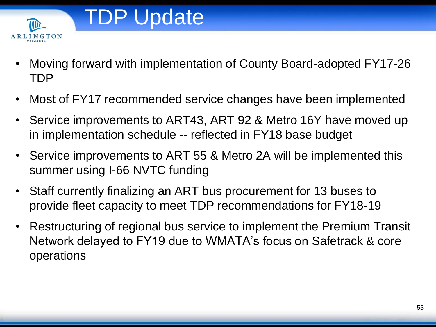

- Moving forward with implementation of County Board-adopted FY17-26 TDP
- Most of FY17 recommended service changes have been implemented
- Service improvements to ART43, ART 92 & Metro 16Y have moved up in implementation schedule -- reflected in FY18 base budget
- Service improvements to ART 55 & Metro 2A will be implemented this summer using I-66 NVTC funding
- Staff currently finalizing an ART bus procurement for 13 buses to provide fleet capacity to meet TDP recommendations for FY18-19
- Restructuring of regional bus service to implement the Premium Transit Network delayed to FY19 due to WMATA's focus on Safetrack & core operations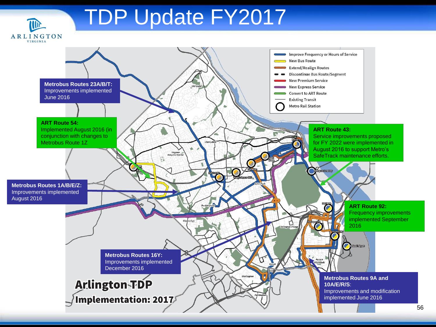

## TDP Update FY2017